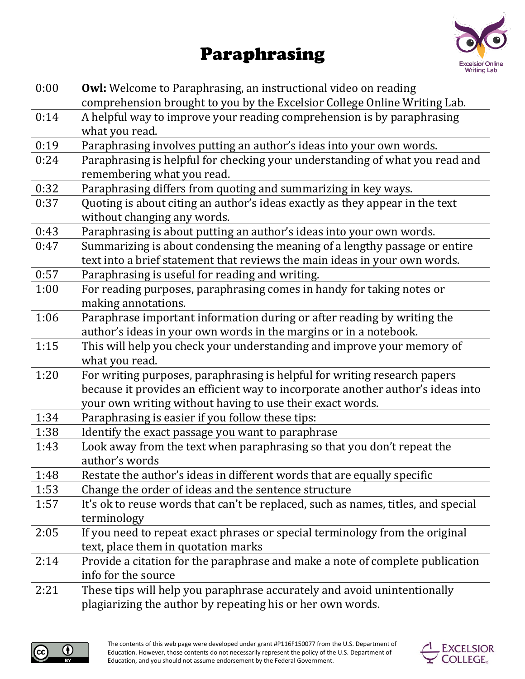## Paraphrasing



| 0:00 | <b>Owl:</b> Welcome to Paraphrasing, an instructional video on reading<br>comprehension brought to you by the Excelsior College Online Writing Lab.                                                                       |
|------|---------------------------------------------------------------------------------------------------------------------------------------------------------------------------------------------------------------------------|
| 0:14 | A helpful way to improve your reading comprehension is by paraphrasing<br>what you read.                                                                                                                                  |
| 0:19 | Paraphrasing involves putting an author's ideas into your own words.                                                                                                                                                      |
| 0:24 | Paraphrasing is helpful for checking your understanding of what you read and<br>remembering what you read.                                                                                                                |
| 0:32 | Paraphrasing differs from quoting and summarizing in key ways.                                                                                                                                                            |
| 0:37 | Quoting is about citing an author's ideas exactly as they appear in the text<br>without changing any words.                                                                                                               |
| 0:43 | Paraphrasing is about putting an author's ideas into your own words.                                                                                                                                                      |
| 0:47 | Summarizing is about condensing the meaning of a lengthy passage or entire<br>text into a brief statement that reviews the main ideas in your own words.                                                                  |
| 0:57 | Paraphrasing is useful for reading and writing.                                                                                                                                                                           |
| 1:00 | For reading purposes, paraphrasing comes in handy for taking notes or<br>making annotations.                                                                                                                              |
| 1:06 | Paraphrase important information during or after reading by writing the<br>author's ideas in your own words in the margins or in a notebook.                                                                              |
| 1:15 | This will help you check your understanding and improve your memory of<br>what you read.                                                                                                                                  |
| 1:20 | For writing purposes, paraphrasing is helpful for writing research papers<br>because it provides an efficient way to incorporate another author's ideas into<br>your own writing without having to use their exact words. |
| 1:34 | Paraphrasing is easier if you follow these tips:                                                                                                                                                                          |
| 1:38 | Identify the exact passage you want to paraphrase                                                                                                                                                                         |
| 1:43 | Look away from the text when paraphrasing so that you don't repeat the<br>author's words                                                                                                                                  |
| 1:48 | Restate the author's ideas in different words that are equally specific                                                                                                                                                   |
| 1:53 | Change the order of ideas and the sentence structure                                                                                                                                                                      |
| 1:57 | It's ok to reuse words that can't be replaced, such as names, titles, and special<br>terminology                                                                                                                          |
| 2:05 | If you need to repeat exact phrases or special terminology from the original<br>text, place them in quotation marks                                                                                                       |
| 2:14 | Provide a citation for the paraphrase and make a note of complete publication<br>info for the source                                                                                                                      |
| 2:21 | These tips will help you paraphrase accurately and avoid unintentionally<br>plagiarizing the author by repeating his or her own words.                                                                                    |